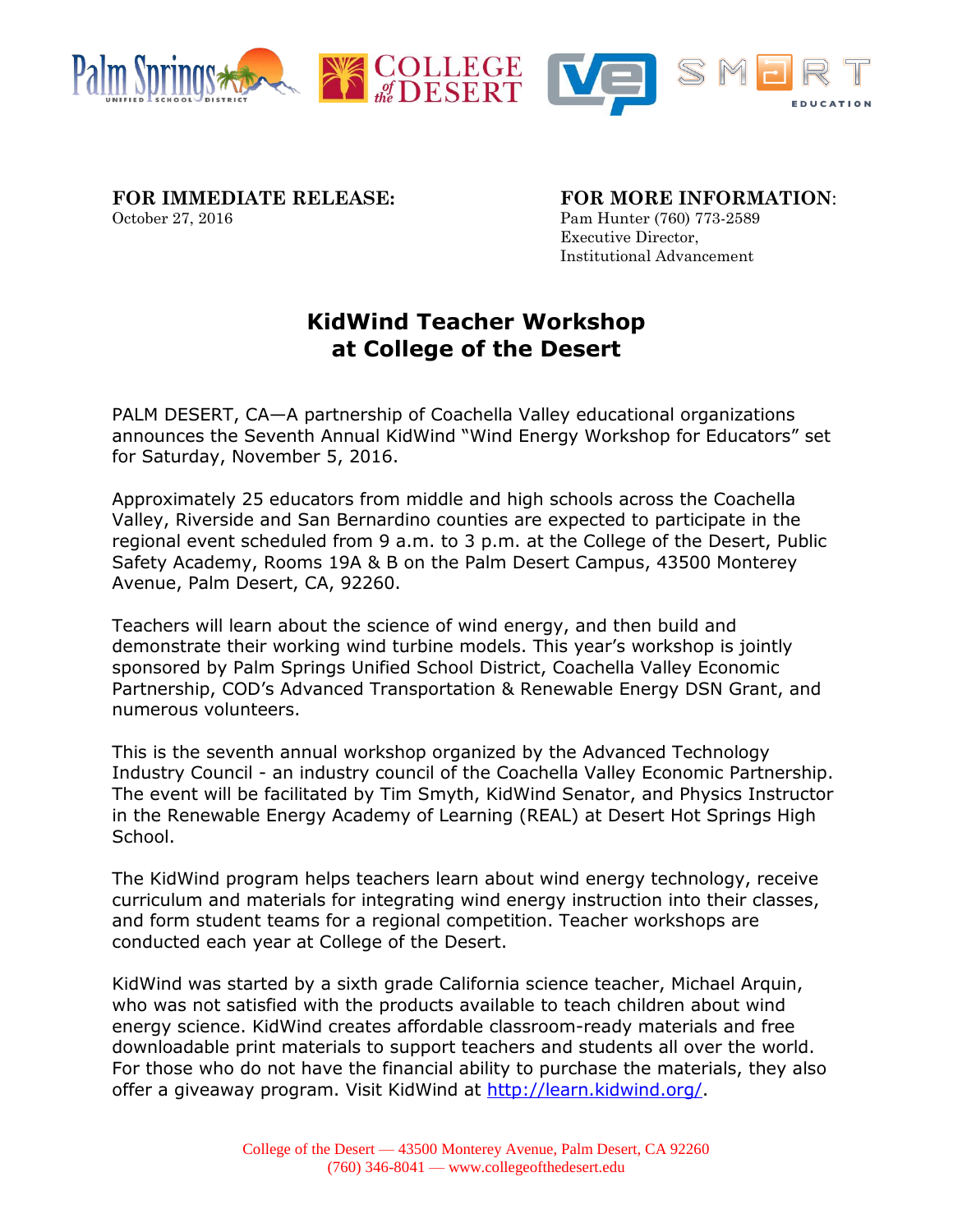

**FOR IMMEDIATE RELEASE: FOR MORE INFORMATION**: October 27, 2016 Pam Hunter (760) 773-2589

Executive Director, Institutional Advancement

## **KidWind Teacher Workshop at College of the Desert**

PALM DESERT, CA—A partnership of Coachella Valley educational organizations announces the Seventh Annual KidWind "Wind Energy Workshop for Educators" set for Saturday, November 5, 2016.

Approximately 25 educators from middle and high schools across the Coachella Valley, Riverside and San Bernardino counties are expected to participate in the regional event scheduled from 9 a.m. to 3 p.m. at the College of the Desert, Public Safety Academy, Rooms 19A & B on the Palm Desert Campus, 43500 Monterey Avenue, Palm Desert, CA, 92260.

Teachers will learn about the science of wind energy, and then build and demonstrate their working wind turbine models. This year's workshop is jointly sponsored by Palm Springs Unified School District, Coachella Valley Economic Partnership, COD's Advanced Transportation & Renewable Energy DSN Grant, and numerous volunteers.

This is the seventh annual workshop organized by the Advanced Technology Industry Council - an industry council of the Coachella Valley Economic Partnership. The event will be facilitated by Tim Smyth, KidWind Senator, and Physics Instructor in the Renewable Energy Academy of Learning (REAL) at Desert Hot Springs High School.

The KidWind program helps teachers learn about wind energy technology, receive curriculum and materials for integrating wind energy instruction into their classes, and form student teams for a regional competition. Teacher workshops are conducted each year at College of the Desert.

KidWind was started by a sixth grade California science teacher, Michael Arquin, who was not satisfied with the products available to teach children about wind energy science. KidWind creates affordable classroom-ready materials and free downloadable print materials to support teachers and students all over the world. For those who do not have the financial ability to purchase the materials, they also offer a giveaway program. Visit KidWind at [http://learn.kidwind.org/.](http://learn.kidwind.org/)